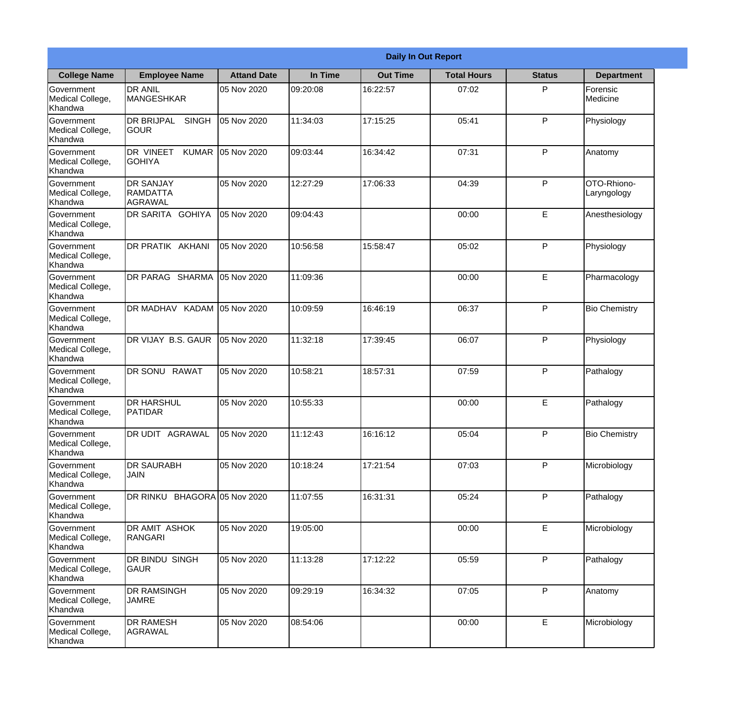|                                                  |                                                       |                    |          | <b>Daily In Out Report</b> |                    |               |                            |  |  |
|--------------------------------------------------|-------------------------------------------------------|--------------------|----------|----------------------------|--------------------|---------------|----------------------------|--|--|
| <b>College Name</b>                              | <b>Employee Name</b>                                  | <b>Attand Date</b> | In Time  | <b>Out Time</b>            | <b>Total Hours</b> | <b>Status</b> | <b>Department</b>          |  |  |
| Government<br>Medical College,<br>Khandwa        | <b>DR ANIL</b><br><b>MANGESHKAR</b>                   | 05 Nov 2020        | 09:20:08 | 16:22:57                   | 07:02              | P             | Forensic<br>Medicine       |  |  |
| Government<br>Medical College,<br>Khandwa        | <b>DR BRIJPAL</b><br><b>SINGH</b><br> GOUR            | 05 Nov 2020        | 11:34:03 | 17:15:25                   | 05:41              | P             | Physiology                 |  |  |
| <b>Government</b><br>Medical College,<br>Khandwa | <b>DR VINEET</b><br><b>KUMAR</b><br><b>I</b> GOHIYA   | 05 Nov 2020        | 09:03:44 | 16:34:42                   | 07:31              | P             | Anatomy                    |  |  |
| Government<br>Medical College,<br>Khandwa        | <b>DR SANJAY</b><br><b>RAMDATTA</b><br><b>AGRAWAL</b> | 05 Nov 2020        | 12:27:29 | 17:06:33                   | 04:39              | P             | OTO-Rhiono-<br>Laryngology |  |  |
| Government<br>Medical College,<br>Khandwa        | <b>IDR SARITA GOHIYA</b>                              | 05 Nov 2020        | 09:04:43 |                            | 00:00              | E             | Anesthesiology             |  |  |
| Government<br>Medical College,<br>Khandwa        | DR PRATIK AKHANI                                      | 05 Nov 2020        | 10:56:58 | 15:58:47                   | 05:02              | P             | Physiology                 |  |  |
| Government<br>Medical College,<br>Khandwa        | DR PARAG SHARMA                                       | 05 Nov 2020        | 11:09:36 |                            | 00:00              | E             | Pharmacology               |  |  |
| Government<br>Medical College,<br>Khandwa        | <b>DR MADHAV KADAM</b>                                | 05 Nov 2020        | 10:09:59 | 16:46:19                   | 06:37              | P             | <b>Bio Chemistry</b>       |  |  |
| Government<br>Medical College,<br>Khandwa        | DR VIJAY B.S. GAUR                                    | 05 Nov 2020        | 11:32:18 | 17:39:45                   | 06:07              | P             | Physiology                 |  |  |
| Government<br>Medical College,<br>Khandwa        | <b>DR SONU</b><br><b>RAWAT</b>                        | 05 Nov 2020        | 10:58:21 | 18:57:31                   | 07:59              | P             | Pathalogy                  |  |  |
| Government<br>Medical College,<br>Khandwa        | IDR HARSHUL<br><b>PATIDAR</b>                         | 05 Nov 2020        | 10:55:33 |                            | 00:00              | E             | Pathalogy                  |  |  |
| Government<br>Medical College,<br>Khandwa        | <b>DR UDIT AGRAWAL</b>                                | 05 Nov 2020        | 11:12:43 | 16:16:12                   | 05:04              | P             | <b>Bio Chemistry</b>       |  |  |
| Government<br>Medical College,<br>Khandwa        | <b>DR SAURABH</b><br><b>JAIN</b>                      | 05 Nov 2020        | 10:18:24 | 17:21:54                   | 07:03              | P             | Microbiology               |  |  |
| Government<br>Medical College,<br>Khandwa        | DR RINKU BHAGORA 05 Nov 2020                          |                    | 11:07:55 | 16:31:31                   | 05:24              | P             | Pathalogy                  |  |  |
| Government<br>Medical College,<br>Khandwa        | DR AMIT ASHOK<br><b>RANGARI</b>                       | 05 Nov 2020        | 19:05:00 |                            | 00:00              | E             | Microbiology               |  |  |
| Government<br>Medical College,<br>Khandwa        | DR BINDU SINGH<br><b>GAUR</b>                         | 05 Nov 2020        | 11:13:28 | 17:12:22                   | 05:59              | P             | Pathalogy                  |  |  |
| Government<br>Medical College,<br>Khandwa        | <b>DR RAMSINGH</b><br><b>JAMRE</b>                    | 05 Nov 2020        | 09:29:19 | 16:34:32                   | 07:05              | P             | Anatomy                    |  |  |
| Government<br>Medical College,<br>Khandwa        | <b>DR RAMESH</b><br><b>AGRAWAL</b>                    | 05 Nov 2020        | 08:54:06 |                            | 00:00              | E             | Microbiology               |  |  |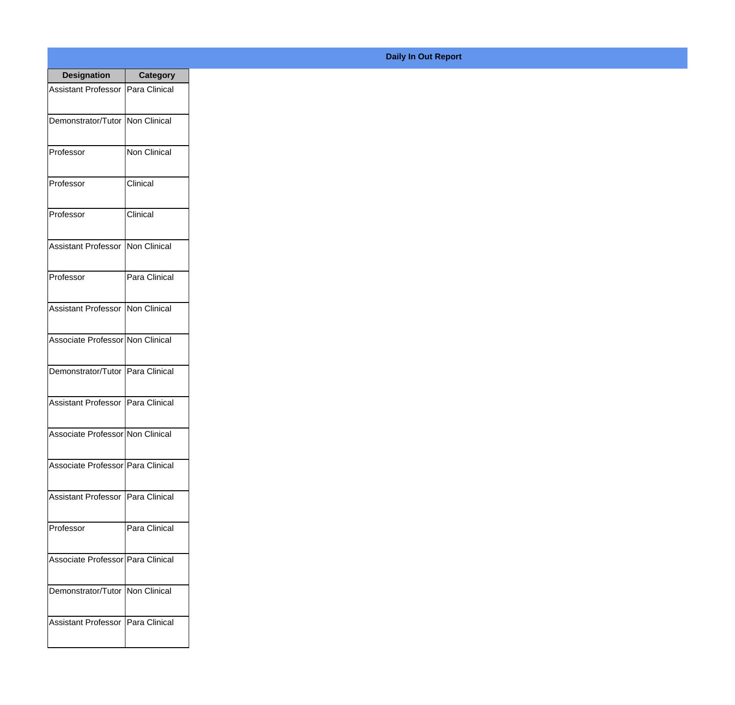| <b>Designation</b>                  | <b>Category</b>     |
|-------------------------------------|---------------------|
| <b>Assistant Professor</b>          | Para Clinical       |
| Demonstrator/Tutor   Non Clinical   |                     |
| Professor                           | Non Clinical        |
| Professor                           | Clinical            |
| Professor                           | Clinical            |
| Assistant Professor                 | <b>Non Clinical</b> |
| Professor                           | Para Clinical       |
| <b>Assistant Professor</b>          | Non Clinical        |
| Associate Professor Non Clinical    |                     |
| Demonstrator/Tutor                  | Para Clinical       |
| <b>Assistant Professor</b>          | Para Clinical       |
| Associate Professor Non Clinical    |                     |
| Associate Professor   Para Clinical |                     |
| Assistant Professor   Para Clinical |                     |
| Professor                           | Para Clinical       |
| Associate Professor   Para Clinical |                     |
| Demonstrator/Tutor   Non Clinical   |                     |
| Assistant Professor   Para Clinical |                     |

## **Daily In Out Report**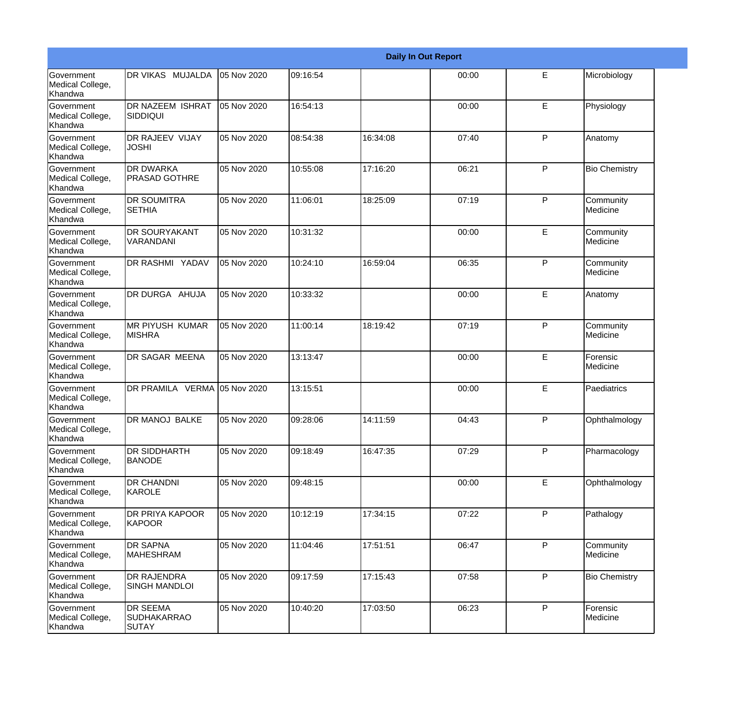|                                                         |                                                       |             |          |          | <b>Daily In Out Report</b> |              |                       |
|---------------------------------------------------------|-------------------------------------------------------|-------------|----------|----------|----------------------------|--------------|-----------------------|
| Government<br>Medical College,<br>Khandwa               | DR VIKAS MUJALDA                                      | 05 Nov 2020 | 09:16:54 |          | 00:00                      | E            | Microbiology          |
| <b>Government</b><br>Medical College,<br>Khandwa        | <b>DR NAZEEM ISHRAT</b><br><b>SIDDIQUI</b>            | 05 Nov 2020 | 16:54:13 |          | 00:00                      | E            | Physiology            |
| <b>Government</b><br>Medical College,<br><b>Khandwa</b> | DR RAJEEV VIJAY<br><b>JOSHI</b>                       | 05 Nov 2020 | 08:54:38 | 16:34:08 | 07:40                      | P            | Anatomy               |
| <b>Government</b><br>Medical College,<br>Khandwa        | <b>DR DWARKA</b><br><b>PRASAD GOTHRE</b>              | 05 Nov 2020 | 10:55:08 | 17:16:20 | 06:21                      | P            | <b>Bio Chemistry</b>  |
| Government<br>Medical College,<br>Khandwa               | <b>DR SOUMITRA</b><br><b>SETHIA</b>                   | 05 Nov 2020 | 11:06:01 | 18:25:09 | 07:19                      | P            | Community<br>Medicine |
| <b>Government</b><br>Medical College,<br>Khandwa        | <b>DR SOURYAKANT</b><br>VARANDANI                     | 05 Nov 2020 | 10:31:32 |          | 00:00                      | E            | Community<br>Medicine |
| Government<br>Medical College,<br>Khandwa               | DR RASHMI YADAV                                       | 05 Nov 2020 | 10:24:10 | 16:59:04 | 06:35                      | P            | Community<br>Medicine |
| Government<br>Medical College,<br>Khandwa               | DR DURGA AHUJA                                        | 05 Nov 2020 | 10:33:32 |          | 00:00                      | E            | Anatomy               |
| <b>Government</b><br>Medical College,<br>Khandwa        | <b>MR PIYUSH KUMAR</b><br><b>MISHRA</b>               | 05 Nov 2020 | 11:00:14 | 18:19:42 | 07:19                      | P            | Community<br>Medicine |
| <b>Government</b><br>Medical College,<br>Khandwa        | DR SAGAR MEENA                                        | 05 Nov 2020 | 13:13:47 |          | 00:00                      | E            | Forensic<br>Medicine  |
| <b>Government</b><br>Medical College,<br>Khandwa        | DR PRAMILA VERMA 05 Nov 2020                          |             | 13:15:51 |          | 00:00                      | E            | Paediatrics           |
| Government<br>Medical College,<br>Khandwa               | DR MANOJ BALKE                                        | 05 Nov 2020 | 09:28:06 | 14:11:59 | 04:43                      | P            | Ophthalmology         |
| <b>Government</b><br>Medical College,<br>Khandwa        | <b>DR SIDDHARTH</b><br><b>BANODE</b>                  | 05 Nov 2020 | 09:18:49 | 16:47:35 | 07:29                      | P            | Pharmacology          |
| Government<br>Medical College,<br>Khandwa               | <b>DR CHANDNI</b><br><b>KAROLE</b>                    | 05 Nov 2020 | 09:48:15 |          | 00:00                      | E            | Ophthalmology         |
| Government<br>Medical College,<br>Khandwa               | DR PRIYA KAPOOR<br>KAPOOR                             | 05 Nov 2020 | 10:12:19 | 17:34:15 | 07:22                      | P            | Pathalogy             |
| Government<br>Medical College,<br>Khandwa               | <b>DR SAPNA</b><br><b>MAHESHRAM</b>                   | 05 Nov 2020 | 11:04:46 | 17:51:51 | 06:47                      | P            | Community<br>Medicine |
| Government<br>Medical College,<br>Khandwa               | <b>DR RAJENDRA</b><br><b>SINGH MANDLOI</b>            | 05 Nov 2020 | 09:17:59 | 17:15:43 | 07:58                      | $\mathsf{P}$ | <b>Bio Chemistry</b>  |
| Government<br>Medical College,<br>Khandwa               | <b>DR SEEMA</b><br><b>SUDHAKARRAO</b><br><b>SUTAY</b> | 05 Nov 2020 | 10:40:20 | 17:03:50 | 06:23                      | $\mathsf{P}$ | Forensic<br>Medicine  |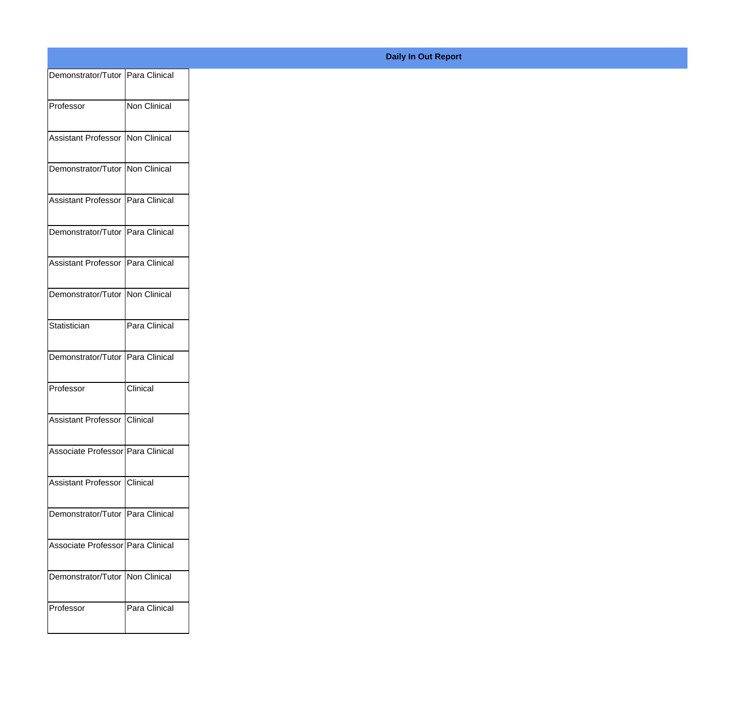| Demonstrator/Tutor Para Clinical    |               |
|-------------------------------------|---------------|
| Professor                           | Non Clinical  |
| Assistant Professor Non Clinical    |               |
|                                     |               |
| Demonstrator/Tutor Non Clinical     |               |
| Assistant Professor   Para Clinical |               |
| Demonstrator/Tutor Para Clinical    |               |
| Assistant Professor   Para Clinical |               |
| Demonstrator/Tutor Non Clinical     |               |
| Statistician                        | Para Clinical |
|                                     |               |
| Demonstrator/Tutor Para Clinical    |               |
| Professor                           | Clinical      |
| Assistant Professor Clinical        |               |
| Associate Professor Para Clinical   |               |
| Assistant Professor Clinical        |               |
|                                     |               |
| Demonstrator/Tutor Para Clinical    |               |
| Associate Professor Para Clinical   |               |
| Demonstrator/Tutor Non Clinical     |               |
| Professor                           | Para Clinical |
|                                     |               |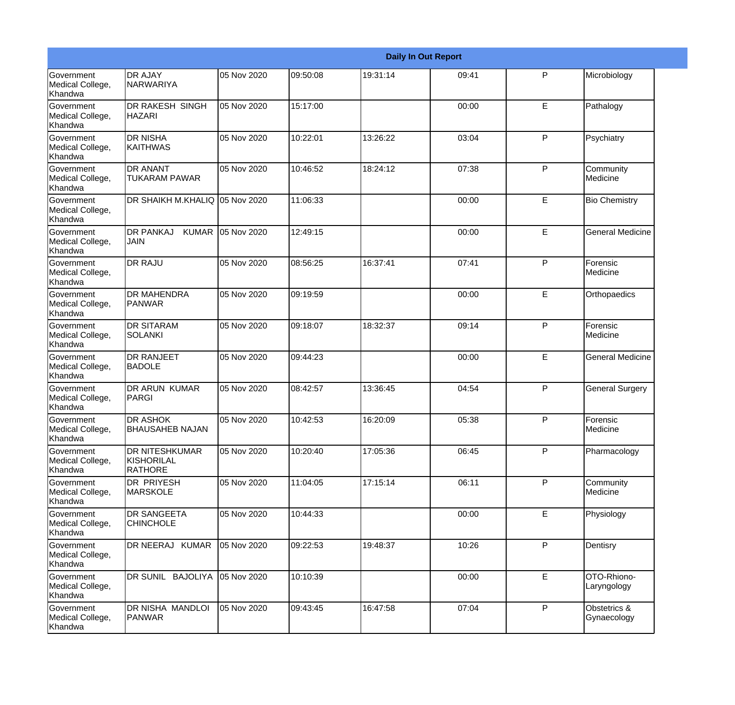|                                                  |                                                |             |          |          | <b>Daily In Out Report</b> |              |                             |
|--------------------------------------------------|------------------------------------------------|-------------|----------|----------|----------------------------|--------------|-----------------------------|
| Government<br>Medical College,<br>Khandwa        | <b>DR AJAY</b><br>NARWARIYA                    | 05 Nov 2020 | 09:50:08 | 19:31:14 | 09:41                      | P            | Microbiology                |
| <b>Government</b><br>Medical College,<br>Khandwa | DR RAKESH SINGH<br><b>HAZARI</b>               | 05 Nov 2020 | 15:17:00 |          | 00:00                      | E            | Pathalogy                   |
| Government<br>Medical College,<br>Khandwa        | <b>DR NISHA</b><br><b>KAITHWAS</b>             | 05 Nov 2020 | 10:22:01 | 13:26:22 | 03:04                      | $\mathsf{P}$ | Psychiatry                  |
| Government<br>Medical College,<br>Khandwa        | DR ANANT<br><b>TUKARAM PAWAR</b>               | 05 Nov 2020 | 10:46:52 | 18:24:12 | 07:38                      | $\mathsf{P}$ | Community<br>Medicine       |
| <b>Government</b><br>Medical College,<br>Khandwa | DR SHAIKH M.KHALIQ 05 Nov 2020                 |             | 11:06:33 |          | 00:00                      | E            | <b>Bio Chemistry</b>        |
| Government<br>Medical College,<br>Khandwa        | <b>DR PANKAJ</b><br><b>KUMAR</b><br> JAIN      | 05 Nov 2020 | 12:49:15 |          | 00:00                      | E            | <b>General Medicine</b>     |
| <b>Government</b><br>Medical College,<br>Khandwa | <b>DR RAJU</b>                                 | 05 Nov 2020 | 08:56:25 | 16:37:41 | 07:41                      | $\mathsf{P}$ | Forensic<br>Medicine        |
| Government<br>Medical College,<br>Khandwa        | DR MAHENDRA<br>PANWAR                          | 05 Nov 2020 | 09:19:59 |          | 00:00                      | E            | Orthopaedics                |
| <b>Government</b><br>Medical College,<br>Khandwa | <b>DR SITARAM</b><br><b>SOLANKI</b>            | 05 Nov 2020 | 09:18:07 | 18:32:37 | 09:14                      | P            | Forensic<br>Medicine        |
| <b>Government</b><br>Medical College,<br>Khandwa | <b>DR RANJEET</b><br><b>BADOLE</b>             | 05 Nov 2020 | 09:44:23 |          | 00:00                      | E            | <b>General Medicine</b>     |
| Government<br>Medical College,<br>Khandwa        | <b>DR ARUN KUMAR</b><br>PARGI                  | 05 Nov 2020 | 08:42:57 | 13:36:45 | 04:54                      | P            | <b>General Surgery</b>      |
| Government<br>Medical College,<br>Khandwa        | DR ASHOK<br><b>BHAUSAHEB NAJAN</b>             | 05 Nov 2020 | 10:42:53 | 16:20:09 | 05:38                      | P            | Forensic<br>Medicine        |
| Government<br>Medical College,<br>Khandwa        | DR NITESHKUMAR<br>KISHORILAL<br><b>RATHORE</b> | 05 Nov 2020 | 10:20:40 | 17:05:36 | 06:45                      | P            | Pharmacology                |
| Government<br>Medical College,<br>Khandwa        | DR PRIYESH<br><b>MARSKOLE</b>                  | 05 Nov 2020 | 11:04:05 | 17:15:14 | 06:11                      | $\mathsf{P}$ | Community<br>Medicine       |
| Government<br>Medical College,<br>Khandwa        | <b>DR SANGEETA</b><br><b>CHINCHOLE</b>         | 05 Nov 2020 | 10:44:33 |          | 00:00                      | E            | Physiology                  |
| Government<br>Medical College,<br>Khandwa        | DR NEERAJ KUMAR                                | 05 Nov 2020 | 09:22:53 | 19:48:37 | 10:26                      | P            | Dentisry                    |
| Government<br>Medical College,<br>Khandwa        | DR SUNIL BAJOLIYA                              | 05 Nov 2020 | 10:10:39 |          | 00:00                      | E            | OTO-Rhiono-<br>Laryngology  |
| Government<br>Medical College,<br>Khandwa        | DR NISHA MANDLOI<br>PANWAR                     | 05 Nov 2020 | 09:43:45 | 16:47:58 | 07:04                      | $\mathsf{P}$ | Obstetrics &<br>Gynaecology |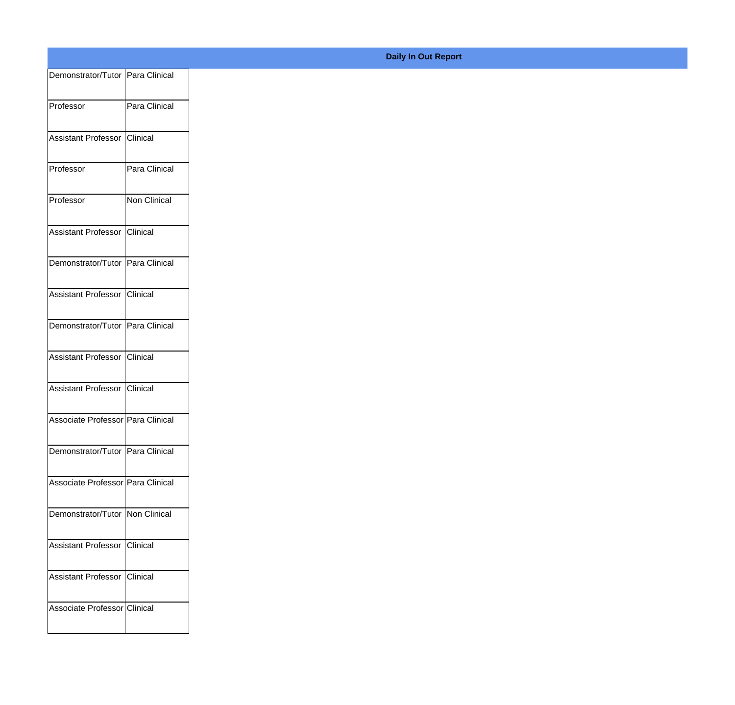| Demonstrator/Tutor Para Clinical  |               |
|-----------------------------------|---------------|
| Professor                         | Para Clinical |
|                                   |               |
| Assistant Professor Clinical      |               |
| Professor                         | Para Clinical |
| Professor                         | Non Clinical  |
| Assistant Professor Clinical      |               |
| Demonstrator/Tutor Para Clinical  |               |
| Assistant Professor Clinical      |               |
| Demonstrator/Tutor Para Clinical  |               |
|                                   |               |
| Assistant Professor Clinical      |               |
| Assistant Professor Clinical      |               |
| Associate Professor Para Clinical |               |
| Demonstrator/Tutor Para Clinical  |               |
| Associate Professor Para Clinical |               |
| Demonstrator/Tutor Non Clinical   |               |
|                                   |               |
| Assistant Professor Clinical      |               |
| Assistant Professor Clinical      |               |
| Associate Professor Clinical      |               |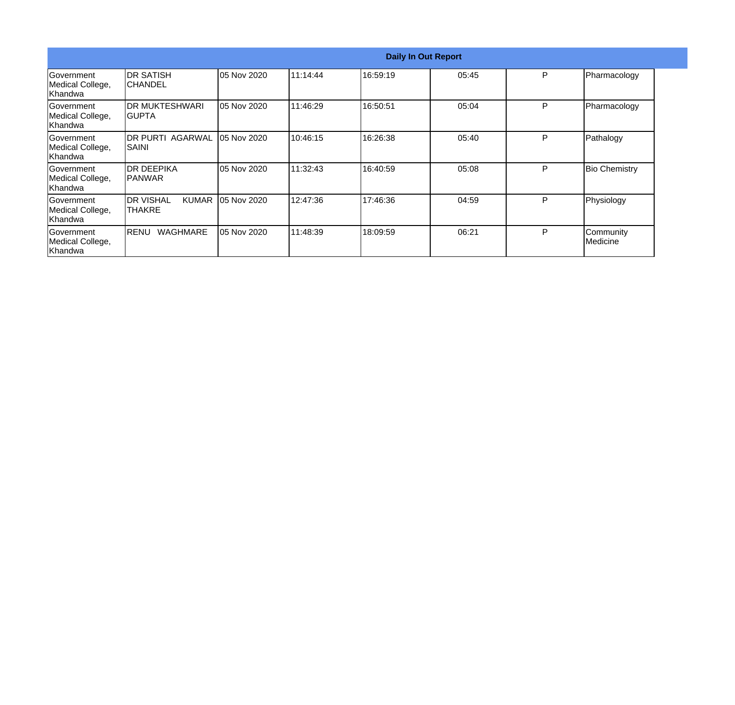|                                                   |                                              |             |          | <b>Daily In Out Report</b> |       |   |                                |
|---------------------------------------------------|----------------------------------------------|-------------|----------|----------------------------|-------|---|--------------------------------|
| <b>Government</b><br>Medical College,<br>Khandwa  | IDR SATISH<br>ICHANDEL                       | 05 Nov 2020 | 11:14:44 | 16:59:19                   | 05:45 | P | Pharmacology                   |
| <b>Government</b><br>Medical College,<br>lKhandwa | IDR MUKTESHWARI<br>IGUPTA                    | 05 Nov 2020 | 11:46:29 | 16:50:51                   | 05:04 | P | Pharmacology                   |
| <b>Sovernment</b><br>Medical College,<br>lKhandwa | <b>DR PURTI AGARWAL</b><br><b>SAINI</b>      | 05 Nov 2020 | 10:46:15 | 16:26:38                   | 05:40 | P | Pathalogy                      |
| <b>Government</b><br>Medical College,<br>Khandwa  | <b>IDR DEEPIKA</b><br>IPANWAR                | 05 Nov 2020 | 11:32:43 | 16:40:59                   | 05:08 | P | <b>Bio Chemistry</b>           |
| <b>Government</b><br>Medical College,<br>lKhandwa | <b>IDR VISHAL</b><br><b>KUMAR</b><br>ITHAKRE | 05 Nov 2020 | 12:47:36 | 17:46:36                   | 04:59 | P | Physiology                     |
| Government<br>Medical College,<br>Khandwa         | <b>WAGHMARE</b><br><b>RENU</b>               | 05 Nov 2020 | 11:48:39 | 18:09:59                   | 06:21 | P | Community<br><b>I</b> Medicine |